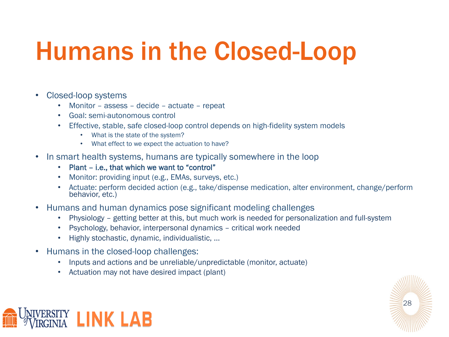## Humans in the Closed-Loop

- Closed-loop systems
	- Monitor assess decide actuate repeat
	- Goal: semi-autonomous control
	- Effective, stable, safe closed-loop control depends on high-fidelity system models
		- What is the state of the system?
		- What effect to we expect the actuation to have?
- In smart health systems, humans are typically somewhere in the loop
	- Plant i.e., that which we want to "control"
	- Monitor: providing input (e.g., EMAs, surveys, etc.)
	- Actuate: perform decided action (e.g., take/dispense medication, alter environment, change/perform behavior, etc.)
- Humans and human dynamics pose significant modeling challenges
	- Physiology getting better at this, but much work is needed for personalization and full-system
	- Psychology, behavior, interpersonal dynamics critical work needed
	- Highly stochastic, dynamic, individualistic, …
- Humans in the closed-loop challenges:
	- Inputs and actions and be unreliable/unpredictable (monitor, actuate)
	- Actuation may not have desired impact (plant)